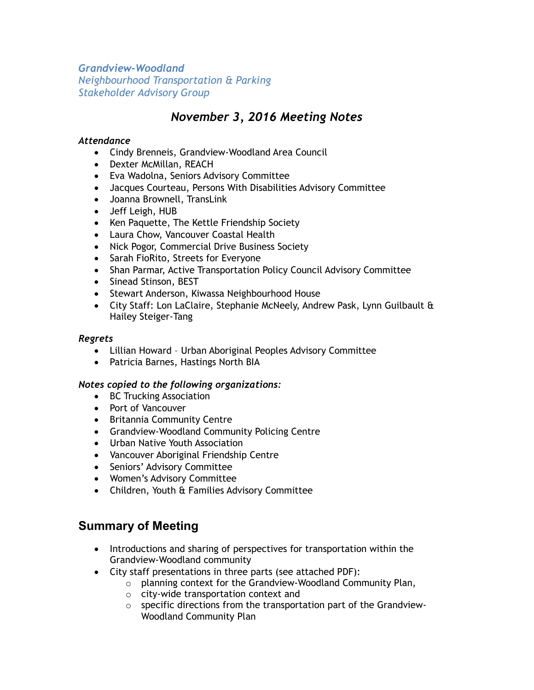*Grandview-Woodland Neighbourhood Transportation & Parking Stakeholder Advisory Group*

# *November 3, 2016 Meeting Notes*

### *Attendance*

- Cindy Brenneis, Grandview-Woodland Area Council
- Dexter McMillan, REACH
- Eva Wadolna, Seniors Advisory Committee
- Jacques Courteau, Persons With Disabilities Advisory Committee
- Joanna Brownell, TransLink
- Jeff Leigh, HUB
- Ken Paquette, The Kettle Friendship Society
- Laura Chow, Vancouver Coastal Health
- Nick Pogor, Commercial Drive Business Society
- Sarah FioRito, Streets for Everyone
- Shan Parmar, Active Transportation Policy Council Advisory Committee
- Sinead Stinson, BEST
- Stewart Anderson, Kiwassa Neighbourhood House
- City Staff: Lon LaClaire, Stephanie McNeely, Andrew Pask, Lynn Guilbault & Hailey Steiger-Tang

### *Regrets*

- Lillian Howard Urban Aboriginal Peoples Advisory Committee
- Patricia Barnes, Hastings North BIA

### *Notes copied to the following organizations:*

- BC Trucking Association
- Port of Vancouver
- Britannia Community Centre
- Grandview-Woodland Community Policing Centre
- Urban Native Youth Association
- Vancouver Aboriginal Friendship Centre
- Seniors' Advisory Committee
- Women's Advisory Committee
- Children, Youth & Families Advisory Committee

## **Summary of Meeting**

- Introductions and sharing of perspectives for transportation within the Grandview-Woodland community
- City staff presentations in three parts (see attached PDF):
	- o planning context for the Grandview-Woodland Community Plan,
	- o city-wide transportation context and
	- $\circ$  specific directions from the transportation part of the Grandview-Woodland Community Plan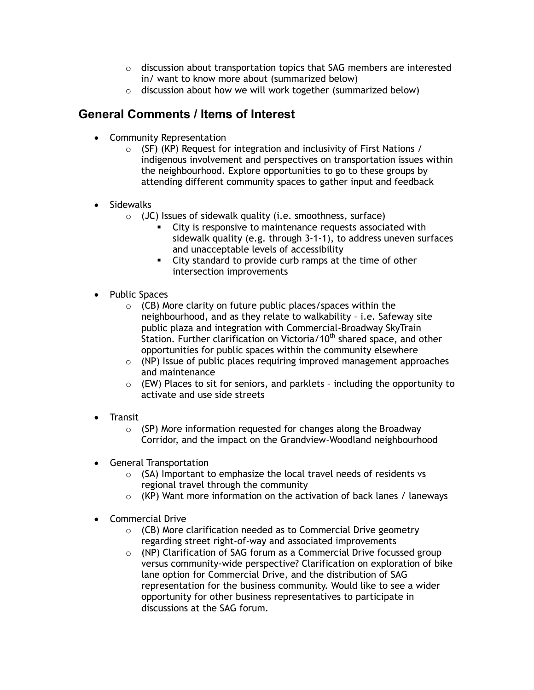- $\circ$  discussion about transportation topics that SAG members are interested in/ want to know more about (summarized below)
- o discussion about how we will work together (summarized below)

## **General Comments / Items of Interest**

- Community Representation
	- o (SF) (KP) Request for integration and inclusivity of First Nations / indigenous involvement and perspectives on transportation issues within the neighbourhood. Explore opportunities to go to these groups by attending different community spaces to gather input and feedback
- Sidewalks
	- $\circ$  (JC) Issues of sidewalk quality (i.e. smoothness, surface)
		- City is responsive to maintenance requests associated with sidewalk quality (e.g. through 3-1-1), to address uneven surfaces and unacceptable levels of accessibility
		- City standard to provide curb ramps at the time of other intersection improvements
- Public Spaces
	- $\circ$  (CB) More clarity on future public places/spaces within the neighbourhood, and as they relate to walkability – i.e. Safeway site public plaza and integration with Commercial-Broadway SkyTrain Station. Further clarification on Victoria/10<sup>th</sup> shared space, and other opportunities for public spaces within the community elsewhere
	- o (NP) Issue of public places requiring improved management approaches and maintenance
	- $\circ$  (EW) Places to sit for seniors, and parklets including the opportunity to activate and use side streets
- Transit
	- $\circ$  (SP) More information requested for changes along the Broadway Corridor, and the impact on the Grandview-Woodland neighbourhood
- General Transportation
	- $\circ$  (SA) Important to emphasize the local travel needs of residents vs regional travel through the community
	- $\circ$  (KP) Want more information on the activation of back lanes / laneways
- Commercial Drive
	- $\circ$  (CB) More clarification needed as to Commercial Drive geometry regarding street right-of-way and associated improvements
	- $\circ$  (NP) Clarification of SAG forum as a Commercial Drive focussed group versus community-wide perspective? Clarification on exploration of bike lane option for Commercial Drive, and the distribution of SAG representation for the business community. Would like to see a wider opportunity for other business representatives to participate in discussions at the SAG forum.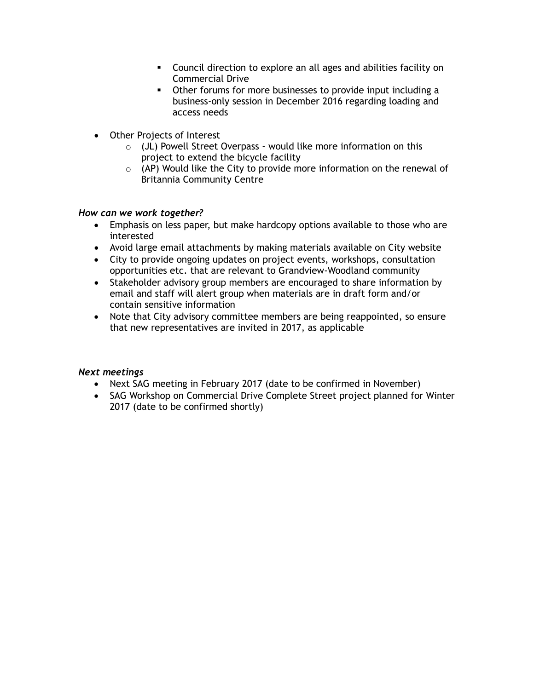- Council direction to explore an all ages and abilities facility on Commercial Drive
- Other forums for more businesses to provide input including a business-only session in December 2016 regarding loading and access needs
- Other Projects of Interest
	- o (JL) Powell Street Overpass would like more information on this project to extend the bicycle facility
	- $\circ$  (AP) Would like the City to provide more information on the renewal of Britannia Community Centre

### *How can we work together?*

- Emphasis on less paper, but make hardcopy options available to those who are interested
- Avoid large email attachments by making materials available on City website
- City to provide ongoing updates on project events, workshops, consultation opportunities etc. that are relevant to Grandview-Woodland community
- Stakeholder advisory group members are encouraged to share information by email and staff will alert group when materials are in draft form and/or contain sensitive information
- Note that City advisory committee members are being reappointed, so ensure that new representatives are invited in 2017, as applicable

#### *Next meetings*

- Next SAG meeting in February 2017 (date to be confirmed in November)
- SAG Workshop on Commercial Drive Complete Street project planned for Winter 2017 (date to be confirmed shortly)